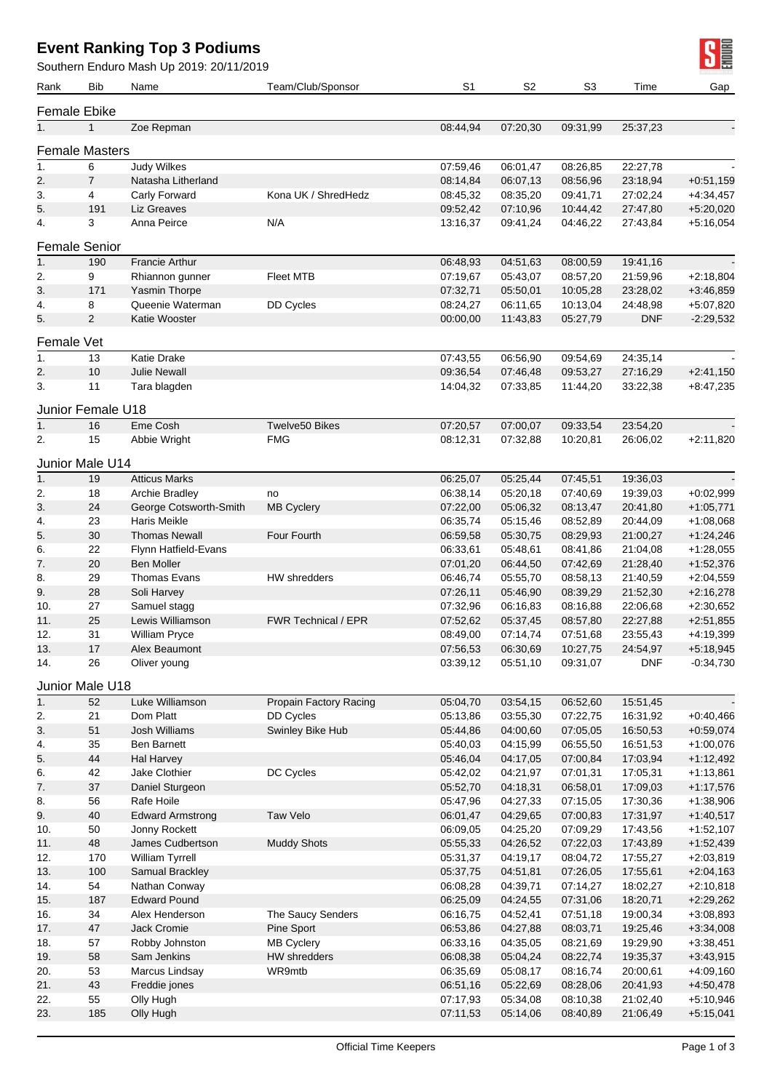## **Event Ranking Top 3 Podiums**

Southern Enduro Mash Up 2019: 20/11/2019

|                  |                              | Southern Enduro Mash Up 2019: 20/11/2019 |                            |                       |                      |                      |                      | - 11                       |
|------------------|------------------------------|------------------------------------------|----------------------------|-----------------------|----------------------|----------------------|----------------------|----------------------------|
| Rank             | <b>Bib</b>                   | Name                                     | Team/Club/Sponsor          | S <sub>1</sub>        | S <sub>2</sub>       | S <sub>3</sub>       | Time                 | Gap                        |
|                  |                              |                                          |                            |                       |                      |                      |                      |                            |
| 1.               | Female Ebike<br>$\mathbf{1}$ | Zoe Repman                               |                            | 08:44,94              | 07:20,30             | 09:31,99             | 25:37,23             |                            |
|                  |                              |                                          |                            |                       |                      |                      |                      |                            |
|                  | <b>Female Masters</b>        |                                          |                            |                       |                      |                      |                      |                            |
| 1.               | 6                            | Judy Wilkes                              |                            | 07:59,46              | 06:01,47             | 08:26,85             | 22:27,78             |                            |
| 2.               | $\overline{7}$               | Natasha Litherland                       | Kona UK / ShredHedz        | 08:14,84              | 06:07,13             | 08:56,96             | 23:18,94             | $+0.51,159$                |
| 3.<br>5.         | 4<br>191                     | Carly Forward<br>Liz Greaves             |                            | 08:45,32<br>09:52,42  | 08:35,20<br>07:10,96 | 09:41,71<br>10:44,42 | 27:02,24<br>27:47,80 | $+4:34,457$<br>$+5:20,020$ |
| 4.               | 3                            | Anna Peirce                              | N/A                        | 13:16,37              | 09:41,24             | 04:46,22             | 27:43,84             | $+5:16,054$                |
|                  | <b>Female Senior</b>         |                                          |                            |                       |                      |                      |                      |                            |
| 1.               | 190                          | <b>Francie Arthur</b>                    |                            | 06:48,93              | 04:51,63             | 08:00,59             | 19:41,16             |                            |
| 2.               | 9                            | Rhiannon gunner                          | <b>Fleet MTB</b>           | 07:19,67              | 05:43,07             | 08:57,20             | 21:59,96             | $+2:18,804$                |
| 3.               | 171                          | Yasmin Thorpe                            |                            | 07:32,71              | 05:50,01             | 10:05,28             | 23:28,02             | $+3:46,859$                |
| 4.               | 8                            | Queenie Waterman                         | DD Cycles                  | 08:24,27              | 06:11,65             | 10:13,04             | 24:48,98             | +5:07,820                  |
| 5.               | $\overline{2}$               | Katie Wooster                            |                            | 00:00,00              | 11:43,83             | 05:27,79             | <b>DNF</b>           | $-2:29,532$                |
|                  | Female Vet                   |                                          |                            |                       |                      |                      |                      |                            |
| 1.               | 13                           | <b>Katie Drake</b>                       |                            | $\overline{07:}43,55$ | 06:56,90             | 09:54,69             | 24:35,14             |                            |
| 2.               | 10                           | <b>Julie Newall</b>                      |                            | 09:36,54              | 07:46,48             | 09:53,27             | 27:16,29             | $+2:41,150$                |
| 3.               | 11                           | Tara blagden                             |                            | 14:04,32              | 07:33,85             | 11:44,20             | 33:22,38             | $+8:47,235$                |
|                  | Junior Female U18            |                                          |                            |                       |                      |                      |                      |                            |
| 1.               | 16                           | Eme Cosh                                 | Twelve50 Bikes             | 07:20,57              | 07:00,07             | 09:33,54             | 23:54,20             |                            |
| 2.               | 15                           | Abbie Wright                             | <b>FMG</b>                 | 08:12,31              | 07:32,88             | 10:20,81             | 26:06,02             | $+2:11,820$                |
|                  |                              |                                          |                            |                       |                      |                      |                      |                            |
| 1.               | Junior Male U14              |                                          |                            |                       |                      |                      |                      |                            |
| 2.               | 19<br>18                     | <b>Atticus Marks</b><br>Archie Bradley   | no                         | 06:25,07<br>06:38,14  | 05:25,44<br>05:20,18 | 07:45,51<br>07:40,69 | 19:36,03<br>19:39,03 | $+0.02,999$                |
| 3.               | 24                           | George Cotsworth-Smith                   | <b>MB Cyclery</b>          | 07:22,00              | 05:06,32             | 08:13,47             | 20:41,80             | $+1:05,771$                |
| 4.               | 23                           | Haris Meikle                             |                            | 06:35,74              | 05:15,46             | 08:52,89             | 20:44,09             | $+1:08,068$                |
| 5.               | $30\,$                       | <b>Thomas Newall</b>                     | Four Fourth                | 06:59,58              | 05:30,75             | 08:29,93             | 21:00,27             | $+1:24,246$                |
| 6.               | 22                           | Flynn Hatfield-Evans                     |                            | 06:33,61              | 05:48,61             | 08:41,86             | 21:04,08             | $+1:28,055$                |
| 7.               | 20                           | <b>Ben Moller</b>                        |                            | 07:01,20              | 06:44,50             | 07:42,69             | 21:28,40             | $+1:52,376$                |
| 8.               | 29                           | <b>Thomas Evans</b>                      | HW shredders               | 06:46,74              | 05:55,70             | 08:58,13             | 21:40,59             | $+2:04,559$                |
| 9.               | 28                           | Soli Harvey                              |                            | 07:26,11              | 05:46,90             | 08:39,29             | 21:52,30             | $+2:16,278$                |
| 10.              | 27                           | Samuel stagg                             |                            | 07:32,96              | 06:16,83             | 08:16,88             | 22:06,68             | $+2:30,652$                |
| 11.              | 25                           | Lewis Williamson                         | <b>FWR Technical / EPR</b> | 07:52,62              | 05:37,45             | 08:57,80             | 22:27,88             | $+2:51,855$                |
| 12.              | 31                           | <b>William Pryce</b>                     |                            | 08:49,00              | 07:14,74             | 07:51,68             | 23:55,43             | $+4:19,399$                |
| 13.              | 17                           | Alex Beaumont                            |                            | 07:56,53              | 06:30,69             | 10:27,75             | 24:54,97             | $+5:18,945$                |
| 14.              | 26                           | Oliver young                             |                            | 03:39,12              | 05:51,10             | 09:31,07             | <b>DNF</b>           | $-0:34,730$                |
|                  | Junior Male U18              |                                          |                            |                       |                      |                      |                      |                            |
| $\overline{1}$ . | 52                           | Luke Williamson                          | Propain Factory Racing     | 05:04,70              | 03:54,15             | 06:52,60             | 15:51,45             |                            |
| 2.               | 21                           | Dom Platt                                | DD Cycles                  | 05:13,86              | 03:55,30             | 07:22,75             | 16:31,92             | $+0.40,466$                |
| 3.               | 51                           | Josh Williams                            | Swinley Bike Hub           | 05:44,86              | 04:00,60             | 07:05,05             | 16:50,53             | $+0.59,074$                |
| 4.               | 35<br>$44\,$                 | Ben Barnett<br>Hal Harvey                |                            | 05:40,03<br>05:46,04  | 04:15,99             | 06:55,50<br>07:00.84 | 16:51,53             | $+1:00,076$                |
| 5.<br>6.         | 42                           | Jake Clothier                            | DC Cycles                  | 05:42,02              | 04:17,05<br>04:21,97 | 07:01,31             | 17:03,94<br>17:05,31 | $+1:12,492$<br>$+1:13,861$ |
| 7.               | 37                           | Daniel Sturgeon                          |                            | 05:52,70              | 04:18,31             | 06:58,01             | 17:09,03             | $+1:17,576$                |
| 8.               | 56                           | Rafe Hoile                               |                            | 05:47,96              | 04:27,33             | 07:15,05             | 17:30,36             | $+1:38,906$                |
| 9.               | $40\,$                       | <b>Edward Armstrong</b>                  | Taw Velo                   | 06:01,47              | 04:29,65             | 07:00,83             | 17:31,97             | $+1:40,517$                |
| 10.              | 50                           | Jonny Rockett                            |                            | 06:09,05              | 04:25,20             | 07:09,29             | 17:43,56             | $+1:52,107$                |
| 11.              | 48                           | James Cudbertson                         | <b>Muddy Shots</b>         | 05:55,33              | 04:26,52             | 07:22,03             | 17:43,89             | $+1:52,439$                |
| 12.              | 170                          | William Tyrrell                          |                            | 05:31,37              | 04:19,17             | 08:04,72             | 17:55,27             | $+2:03,819$                |
| 13.              | 100                          | Samual Brackley                          |                            | 05:37,75              | 04:51,81             | 07:26,05             | 17:55,61             | $+2:04,163$                |
| 14.              | 54                           | Nathan Conway                            |                            | 06:08,28              | 04:39,71             | 07:14,27             | 18:02,27             | $+2:10,818$                |
| 15.              | 187                          | <b>Edward Pound</b>                      |                            | 06:25,09              | 04:24,55             | 07:31,06             | 18:20,71             | $+2:29,262$                |
| 16.              | 34                           | Alex Henderson                           | The Saucy Senders          | 06:16,75              | 04:52,41             | 07:51,18             | 19:00,34             | $+3:08,893$                |
| 17.              | 47                           | Jack Cromie                              | Pine Sport                 | 06:53,86              | 04:27,88             | 08:03,71             | 19:25,46             | $+3:34,008$                |
| 18.              | 57                           | Robby Johnston                           | <b>MB Cyclery</b>          | 06:33,16              | 04:35,05             | 08:21,69             | 19:29,90             | $+3:38,451$                |
| 19.              | 58                           | Sam Jenkins                              | HW shredders               | 06:08,38              | 05:04,24             | 08:22,74             | 19:35,37             | $+3:43,915$                |
| 20.<br>21.       | 53<br>43                     | Marcus Lindsay<br>Freddie jones          | WR9mtb                     | 06:35,69<br>06:51,16  | 05:08,17<br>05:22,69 | 08:16,74<br>08:28,06 | 20:00,61<br>20:41,93 | $+4:09,160$<br>$+4:50,478$ |
| 22.              | 55                           | Olly Hugh                                |                            | 07:17,93              | 05:34,08             | 08:10,38             | 21:02,40             | $+5:10,946$                |
| 23.              | 185                          | Olly Hugh                                |                            | 07:11,53              | 05:14,06             | 08:40,89             | 21:06,49             | $+5:15,041$                |

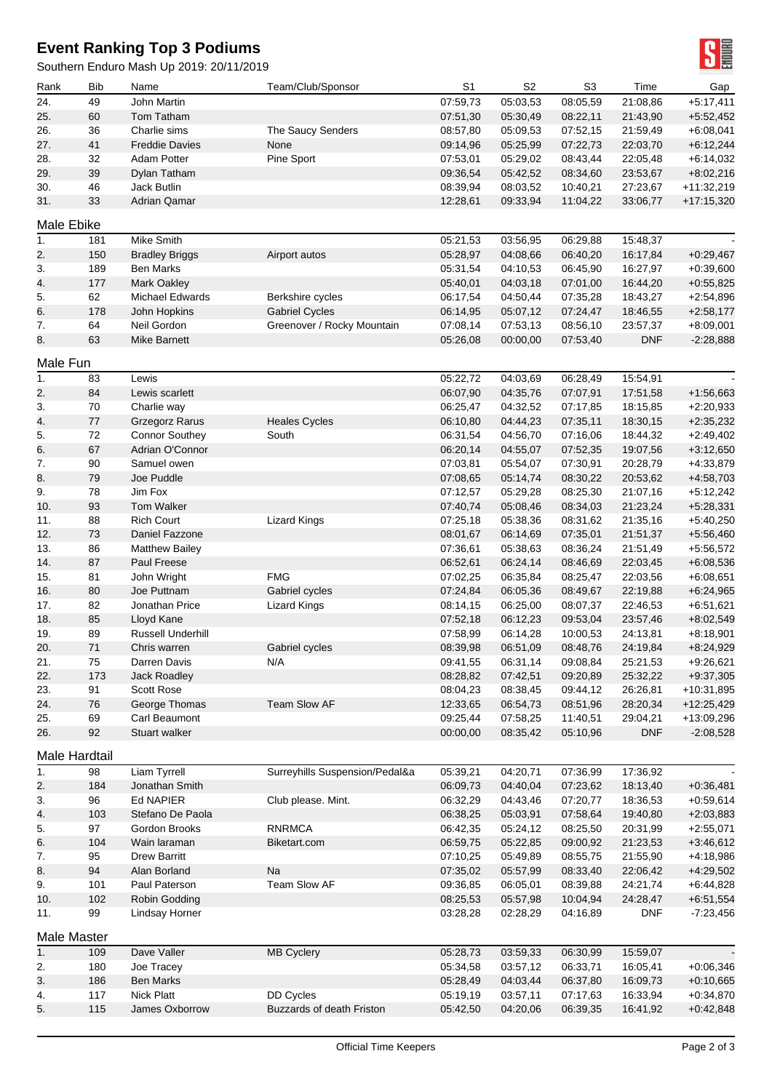## **Event Ranking Top 3 Podiums**

Southern Enduro Mash Up 2019: 20/11/2019

| Rank          | Bib      | Name                                | Team/Club/Sponsor              | S <sub>1</sub>       | S <sub>2</sub>       | S <sub>3</sub>       | Time                 | Gap                        |
|---------------|----------|-------------------------------------|--------------------------------|----------------------|----------------------|----------------------|----------------------|----------------------------|
| 24.           | 49       | John Martin                         |                                | 07:59,73             | 05:03,53             | 08:05,59             | 21:08.86             | $+5:17,411$                |
| 25.           | 60       | Tom Tatham                          |                                | 07:51,30             | 05:30,49             | 08:22,11             | 21:43,90             | $+5:52,452$                |
| 26.           | 36       | Charlie sims                        | The Saucy Senders              | 08:57,80             | 05:09,53             | 07:52,15             | 21:59,49             | $+6:08,041$                |
| 27.           | 41       | <b>Freddie Davies</b>               | None                           | 09:14,96             | 05:25,99             | 07:22,73             | 22:03,70             | $+6:12,244$                |
| 28.           | 32       | <b>Adam Potter</b>                  | Pine Sport                     | 07:53,01             | 05:29,02             | 08:43,44             | 22:05,48             | $+6:14,032$                |
| 29.           | 39       | Dylan Tatham                        |                                | 09:36,54             | 05:42,52             | 08:34,60             | 23:53,67             | $+8:02,216$                |
| 30.           | 46       | <b>Jack Butlin</b>                  |                                | 08:39,94             | 08:03,52             | 10:40,21             | 27:23,67             | +11:32,219                 |
| 31.           | 33       | <b>Adrian Qamar</b>                 |                                | 12:28,61             | 09:33,94             | 11:04,22             | 33:06,77             | +17:15,320                 |
| Male Ebike    |          |                                     |                                |                      |                      |                      |                      |                            |
| 1.            | 181      | Mike Smith                          |                                | 05:21,53             | 03:56,95             | 06:29,88             | 15:48,37             |                            |
| 2.            | 150      | <b>Bradley Briggs</b>               | Airport autos                  | 05:28,97             | 04:08,66             | 06:40,20             | 16:17,84             | $+0.29,467$                |
| 3.            | 189      | <b>Ben Marks</b>                    |                                | 05:31,54             | 04:10,53             | 06:45,90             | 16:27,97             | $+0.39,600$                |
| 4.            | 177      | <b>Mark Oakley</b>                  |                                | 05:40,01             | 04:03,18             | 07:01,00             | 16:44,20             | $+0.55,825$                |
| 5.            | 62       | Michael Edwards                     | Berkshire cycles               | 06:17,54             | 04:50,44             | 07:35,28             | 18:43,27             | $+2:54,896$                |
| 6.            | 178      | John Hopkins                        | <b>Gabriel Cycles</b>          | 06:14,95             | 05:07,12             | 07:24,47             | 18:46,55             | $+2:58,177$                |
| 7.            | 64       | Neil Gordon                         | Greenover / Rocky Mountain     | 07:08,14             | 07:53,13             | 08:56,10             | 23:57,37             | $+8:09,001$                |
| 8.            | 63       | Mike Barnett                        |                                | 05:26,08             | 00:00,00             | 07:53,40             | <b>DNF</b>           | $-2:28,888$                |
| Male Fun      |          |                                     |                                |                      |                      |                      |                      |                            |
| 1.            | 83       | Lewis                               |                                | 05:22,72             | 04:03,69             | 06:28,49             | 15:54,91             |                            |
| 2.            | 84       | Lewis scarlett                      |                                | 06:07.90             | 04:35,76             | 07:07,91             | 17:51,58             | $+1:56,663$                |
| 3.            | 70       | Charlie way                         |                                | 06:25,47             | 04:32,52             | 07:17,85             | 18:15,85             | $+2:20,933$                |
| 4.            | 77       | <b>Grzegorz Rarus</b>               | <b>Heales Cycles</b>           | 06:10,80             | 04:44,23             | 07:35,11             | 18:30,15             | $+2:35,232$                |
| 5.            | 72       | <b>Connor Southey</b>               | South                          | 06:31,54             | 04:56,70             | 07:16,06             | 18:44,32             | $+2:49,402$                |
| 6.            | 67       | Adrian O'Connor                     |                                | 06:20,14             | 04:55,07             | 07:52,35             | 19:07,56             | $+3:12,650$                |
| 7.            | 90       | Samuel owen                         |                                | 07:03,81             | 05:54,07             | 07:30,91             | 20:28,79             | +4:33,879                  |
| 8.            | 79       | Joe Puddle                          |                                | 07:08,65             | 05:14,74             | 08:30,22             | 20:53,62             | $+4:58,703$                |
| 9.            | 78       | Jim Fox                             |                                | 07:12,57             | 05:29,28             | 08:25,30             | 21:07,16             | $+5:12,242$                |
| 10.           | 93       | <b>Tom Walker</b>                   |                                | 07:40,74             | 05:08,46             | 08:34,03             | 21:23,24             | $+5:28,331$                |
| 11.<br>12.    | 88<br>73 | <b>Rich Court</b><br>Daniel Fazzone | <b>Lizard Kings</b>            | 07:25,18             | 05:38,36             | 08:31,62<br>07:35,01 | 21:35,16             | $+5:40,250$                |
| 13.           | 86       | <b>Matthew Bailey</b>               |                                | 08:01,67<br>07:36,61 | 06:14,69<br>05:38,63 | 08:36,24             | 21:51,37<br>21:51,49 | $+5:56,460$<br>$+5:56,572$ |
| 14.           | 87       | Paul Freese                         |                                | 06:52,61             | 06:24,14             | 08:46,69             | 22:03,45             | $+6:08,536$                |
| 15.           | 81       | John Wright                         | <b>FMG</b>                     | 07:02,25             | 06:35,84             | 08:25,47             | 22:03,56             | $+6:08,651$                |
| 16.           | 80       | Joe Puttnam                         | Gabriel cycles                 | 07:24,84             | 06:05,36             | 08:49,67             | 22:19.88             | $+6:24,965$                |
| 17.           | 82       | Jonathan Price                      | <b>Lizard Kings</b>            | 08:14,15             | 06:25,00             | 08:07,37             | 22:46,53             | $+6:51,621$                |
| 18.           | 85       | Lloyd Kane                          |                                | 07:52,18             | 06:12,23             | 09:53,04             | 23:57,46             | $+8:02,549$                |
| 19.           | 89       | <b>Russell Underhill</b>            |                                | 07:58,99             | 06:14,28             | 10:00,53             | 24:13,81             | $+8.18,901$                |
| 20.           | 71       | Chris warren                        | Gabriel cycles                 | 08:39,98             | 06:51,09             | 08:48,76             | 24:19,84             | $+8:24,929$                |
| 21.           | 75       | Darren Davis                        | N/A                            | 09:41,55             | 06:31,14             | 09:08,84             | 25:21,53             | $+9:26,621$                |
| 22.           | 173      | Jack Roadley                        |                                | 08:28,82             | 07:42,51             | 09:20,89             | 25:32,22             | $+9:37,305$                |
| 23.           | 91       | Scott Rose                          |                                | 08:04,23             | 08:38,45             | 09:44,12             | 26:26,81             | +10:31,895                 |
| 24.           | 76       | George Thomas                       | Team Slow AF                   | 12:33,65             | 06:54,73             | 08:51,96             | 28:20,34             | $+12:25,429$               |
| 25.           | 69       | Carl Beaumont                       |                                | 09:25,44             | 07:58,25             | 11:40,51             | 29:04,21             | +13:09,296                 |
| 26.           | 92       | Stuart walker                       |                                | 00:00,00             | 08:35,42             | 05:10,96             | <b>DNF</b>           | $-2:08,528$                |
| Male Hardtail |          |                                     |                                |                      |                      |                      |                      |                            |
| 1.            | 98       | Liam Tyrrell                        | Surreyhills Suspension/Pedal&a | 05:39,21             | 04:20,71             | 07:36,99             | 17:36,92             |                            |
| 2.            | 184      | Jonathan Smith                      |                                | 06:09,73             | 04:40,04             | 07:23,62             | 18:13,40             | $+0.36,481$                |
| 3.            | 96       | <b>Ed NAPIER</b>                    | Club please. Mint.             | 06:32,29             | 04:43,46             | 07:20,77             | 18:36,53             | $+0.59,614$                |
| 4.            | 103      | Stefano De Paola                    |                                | 06:38,25             | 05:03,91             | 07:58,64             | 19:40,80             | $+2:03,883$                |
| 5.            | 97       | Gordon Brooks                       | <b>RNRMCA</b>                  | 06:42,35             | 05:24,12             | 08:25,50             | 20:31,99             | $+2:55,071$                |
| 6.            | 104      | Wain laraman                        | Biketart.com                   | 06:59,75             | 05:22,85             | 09:00,92             | 21:23,53             | $+3:46,612$                |
| 7.            | 95       | <b>Drew Barritt</b>                 |                                | 07:10,25             | 05:49,89             | 08:55,75             | 21:55,90             | +4:18,986                  |
| 8.            | 94       | Alan Borland                        | Na                             | 07:35,02             | 05:57,99             | 08:33,40             | 22:06,42             | $+4:29,502$                |
| 9.            | 101      | Paul Paterson                       | Team Slow AF                   | 09:36,85             | 06:05,01             | 08:39,88             | 24:21,74             | $+6:44,828$                |
| 10.           | 102      | Robin Godding                       |                                | 08:25,53             | 05:57,98             | 10:04,94             | 24:28,47             | $+6:51,554$                |
| 11.           | 99       | Lindsay Horner                      |                                | 03:28,28             | 02:28,29             | 04:16,89             | <b>DNF</b>           | $-7:23,456$                |
| Male Master   |          |                                     |                                |                      |                      |                      |                      |                            |
| 1.            | 109      | Dave Valler                         | <b>MB Cyclery</b>              | 05:28,73             | 03:59,33             | 06:30,99             | 15:59,07             |                            |
| 2.            | 180      | Joe Tracey                          |                                | 05:34,58             | 03:57,12             | 06:33,71             | 16:05,41             | $+0.06,346$                |
| 3.            | 186      | <b>Ben Marks</b>                    |                                | 05:28,49             | 04:03,44             | 06:37,80             | 16:09,73             | $+0.10,665$                |
| 4.            | 117      | <b>Nick Platt</b>                   | DD Cycles                      | 05:19,19             | 03:57,11             | 07:17,63             | 16:33,94             | $+0.34,870$                |
| 5.            | 115      | James Oxborrow                      | Buzzards of death Friston      | 05:42,50             | 04:20,06             | 06:39,35             | 16:41,92             | $+0.42,848$                |